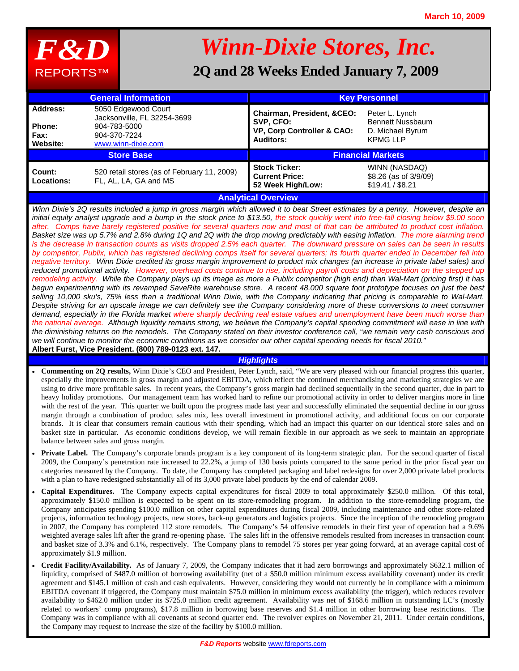

# *Winn-Dixie Stores, Inc.*

# **2Q and 28 Weeks Ended January 7, 2009**

|                                               | <b>General Information</b>                                                                               |                                                                                           | <b>Key Personnel</b>                                                             |
|-----------------------------------------------|----------------------------------------------------------------------------------------------------------|-------------------------------------------------------------------------------------------|----------------------------------------------------------------------------------|
| Address:<br><b>Phone:</b><br>Fax:<br>Website: | 5050 Edgewood Court<br>Jacksonville, FL 32254-3699<br>904-783-5000<br>904-370-7224<br>www.winn-dixie.com | Chairman, President, &CEO:<br>SVP, CFO:<br>VP, Corp Controller & CAO:<br><b>Auditors:</b> | Peter L. Lynch<br><b>Bennett Nussbaum</b><br>D. Michael Byrum<br><b>KPMG LLP</b> |
|                                               | <b>Store Base</b>                                                                                        |                                                                                           | <b>Financial Markets</b>                                                         |
| Count:<br>Locations:                          | 520 retail stores (as of February 11, 2009)<br>FL, AL, LA, GA and MS                                     | <b>Stock Ticker:</b><br><b>Current Price:</b><br>52 Week High/Low:                        | WINN (NASDAQ)<br>$$8.26$ (as of $3/9/09$ )<br>\$19.41 / \$8.21                   |
|                                               |                                                                                                          | <b>Analytical Overview</b>                                                                |                                                                                  |

*Winn Dixie's 2Q results included a jump in gross margin which allowed it to beat Street estimates by a penny. However, despite an initial equity analyst upgrade and a bump in the stock price to \$13.50, the stock quickly went into free-fall closing below \$9.00 soon after. Comps have barely registered positive for several quarters now and most of that can be attributed to product cost inflation. Basket size was up 5.7% and 2.8% during 1Q and 2Q with the drop moving predictably with easing inflation. The more alarming trend is the decrease in transaction counts as visits dropped 2.5% each quarter. The downward pressure on sales can be seen in results by competitor, Publix, which has registered declining comps itself for several quarters; its fourth quarter ended in December fell into negative territory. Winn Dixie credited its gross margin improvement to product mix changes (an increase in private label sales) and reduced promotional activity. However, overhead costs continue to rise, including payroll costs and depreciation on the stepped up remodeling activity. While the Company plays up its image as more a Publix competitor (high end) than Wal-Mart (pricing first) it has begun experimenting with its revamped SaveRite warehouse store. A recent 48,000 square foot prototype focuses on just the best selling 10,000 sku's, 75% less than a traditional Winn Dixie, with the Company indicating that pricing is comparable to Wal-Mart. Despite striving for an upscale image we can definitely see the Company considering more of these conversions to meet consumer*  demand, especially in the Florida market where sharply declining real estate values and unemployment have been much worse than *the national average. Although liquidity remains strong, we believe the Company's capital spending commitment will ease in line with the diminishing returns on the remodels. The Company stated on their investor conference call, "we remain very cash conscious and we will continue to monitor the economic conditions as we consider our other capital spending needs for fiscal 2010."*  **Albert Furst, Vice President. (800) 789-0123 ext. 147.** 

### *Highlights*

- **Commenting on 2Q results,** Winn Dixie's CEO and President, Peter Lynch, said, "We are very pleased with our financial progress this quarter, especially the improvements in gross margin and adjusted EBITDA, which reflect the continued merchandising and marketing strategies we are using to drive more profitable sales. In recent years, the Company's gross margin had declined sequentially in the second quarter, due in part to heavy holiday promotions. Our management team has worked hard to refine our promotional activity in order to deliver margins more in line with the rest of the year. This quarter we built upon the progress made last year and successfully eliminated the sequential decline in our gross margin through a combination of product sales mix, less overall investment in promotional activity, and additional focus on our corporate brands. It is clear that consumers remain cautious with their spending, which had an impact this quarter on our identical store sales and on basket size in particular. As economic conditions develop, we will remain flexible in our approach as we seek to maintain an appropriate balance between sales and gross margin.
- **Private Label.** The Company's corporate brands program is a key component of its long-term strategic plan. For the second quarter of fiscal 2009, the Company's penetration rate increased to 22.2%, a jump of 130 basis points compared to the same period in the prior fiscal year on categories measured by the Company. To date, the Company has completed packaging and label redesigns for over 2,000 private label products with a plan to have redesigned substantially all of its 3,000 private label products by the end of calendar 2009.
- **Capital Expenditures.** The Company expects capital expenditures for fiscal 2009 to total approximately \$250.0 million. Of this total, approximately \$150.0 million is expected to be spent on its store-remodeling program. In addition to the store-remodeling program, the Company anticipates spending \$100.0 million on other capital expenditures during fiscal 2009, including maintenance and other store-related projects, information technology projects, new stores, back-up generators and logistics projects. Since the inception of the remodeling program in 2007, the Company has completed 112 store remodels. The Company's 54 offensive remodels in their first year of operation had a 9.6% weighted average sales lift after the grand re-opening phase. The sales lift in the offensive remodels resulted from increases in transaction count and basket size of 3.3% and 6.1%, respectively. The Company plans to remodel 75 stores per year going forward, at an average capital cost of approximately \$1.9 million.
- **Credit Facility/Availability.** As of January 7, 2009, the Company indicates that it had zero borrowings and approximately \$632.1 million of liquidity, comprised of \$487.0 million of borrowing availability (net of a \$50.0 million minimum excess availability covenant) under its credit agreement and \$145.1 million of cash and cash equivalents. However, considering they would not currently be in compliance with a minimum EBITDA covenant if triggered, the Company must maintain \$75.0 million in minimum excess availability (the trigger), which reduces revolver availability to \$462.0 million under its \$725.0 million credit agreement. Availability was net of \$168.6 million in outstanding LC's (mostly related to workers' comp programs), \$17.8 million in borrowing base reserves and \$1.4 million in other borrowing base restrictions. The Company was in compliance with all covenants at second quarter end. The revolver expires on November 21, 2011. Under certain conditions, the Company may request to increase the size of the facility by \$100.0 million.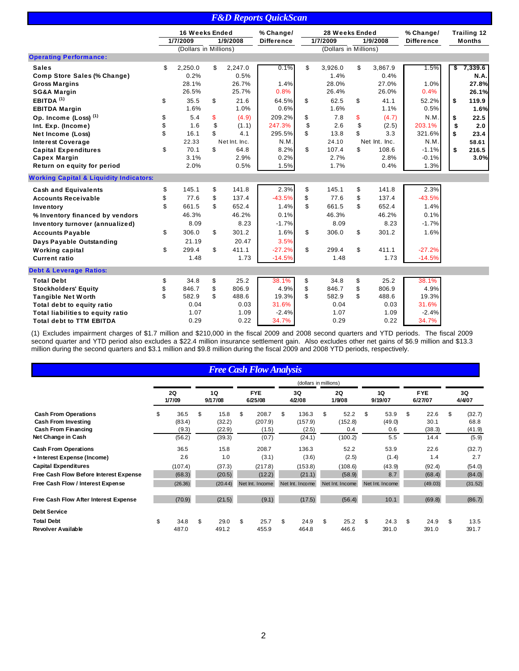|                                                                                                                                                                                                                                                       |                            |                                                                            |                            |                                                                             | <b>F&amp;D Reports QuickScan</b>                                                    |                            |                                                                   |                            |                                                                     |                                                                             |                      |                                                                          |
|-------------------------------------------------------------------------------------------------------------------------------------------------------------------------------------------------------------------------------------------------------|----------------------------|----------------------------------------------------------------------------|----------------------------|-----------------------------------------------------------------------------|-------------------------------------------------------------------------------------|----------------------------|-------------------------------------------------------------------|----------------------------|---------------------------------------------------------------------|-----------------------------------------------------------------------------|----------------------|--------------------------------------------------------------------------|
|                                                                                                                                                                                                                                                       |                            | 16 Weeks Ended<br>1/7/2009<br>(Dollars in Millions)                        |                            | 1/9/2008                                                                    | % Change/<br><b>Difference</b>                                                      |                            | 28 Weeks Ended<br>1/7/2009<br>(Dollars in Millions)               |                            | 1/9/2008                                                            | % Change/<br><b>Difference</b>                                              |                      | <b>Trailing 12</b><br><b>Months</b>                                      |
| <b>Operating Performance:</b>                                                                                                                                                                                                                         |                            |                                                                            |                            |                                                                             |                                                                                     |                            |                                                                   |                            |                                                                     |                                                                             |                      |                                                                          |
| <b>Sales</b><br>Comp Store Sales (% Change)<br><b>Gross Margins</b><br><b>SG&amp;A Margin</b><br>EBITDA $(1)$<br><b>EBITDA Margin</b><br>Op. Income (Loss) <sup>(1)</sup><br>Int. Exp. (Income)                                                       | \$<br>\$<br>\$<br>\$       | 2,250.0<br>0.2%<br>28.1%<br>26.5%<br>35.5<br>1.6%<br>5.4<br>1.6            | \$<br>\$<br>\$<br>\$       | 2,247.0<br>0.5%<br>26.7%<br>25.7%<br>21.6<br>1.0%<br>(4.9)<br>(1.1)         | 0.1%<br>1.4%<br>0.8%<br>64.5%<br>0.6%<br>209.2%<br>247.3%                           | \$<br>\$<br>\$<br>\$       | 3,926.0<br>1.4%<br>28.0%<br>26.4%<br>62.5<br>1.6%<br>7.8<br>2.6   | \$<br>\$<br>\$<br>\$       | 3,867.9<br>0.4%<br>27.0%<br>26.0%<br>41.1<br>1.1%<br>(4.7)<br>(2.5) | 1.5%<br>1.0%<br>0.4%<br>52.2%<br>0.5%<br>N.M.<br>203.1%                     | \$<br>\$<br>\$<br>\$ | 7,339.6<br><b>N.A.</b><br>27.8%<br>26.1%<br>119.9<br>1.6%<br>22.5<br>2.0 |
| Net Income (Loss)<br><b>Interest Coverage</b><br><b>Capital Expenditures</b><br><b>Capex Margin</b><br>Return on equity for period<br><b>Working Capital &amp; Liquidity Indicators:</b>                                                              | \$<br>\$                   | 16.1<br>22.33<br>70.1<br>3.1%<br>2.0%                                      | \$<br>\$                   | 4.1<br>Net Int. Inc.<br>64.8<br>2.9%<br>0.5%                                | 295.5%<br>N.M.<br>8.2%<br>0.2%<br>1.5%                                              | \$<br>\$                   | 13.8<br>24.10<br>107.4<br>2.7%<br>1.7%                            | \$<br>\$                   | 3.3<br>Net Int. Inc.<br>108.6<br>2.8%<br>0.4%                       | 321.6%<br>N.M.<br>$-1.1%$<br>$-0.1%$<br>1.3%                                | \$<br>\$             | 23.4<br>58.61<br>216.5<br>3.0%                                           |
| <b>Cash and Equivalents</b><br><b>Accounts Receivable</b><br>Inventory<br>% Inventory financed by vendors<br>Inventory turnover (annualized)<br><b>Accounts Payable</b><br>Days Payable Outstanding<br><b>Working capital</b><br><b>Current ratio</b> | \$<br>\$<br>\$<br>\$<br>\$ | 145.1<br>77.6<br>661.5<br>46.3%<br>8.09<br>306.0<br>21.19<br>299.4<br>1.48 | \$<br>\$<br>\$<br>\$<br>\$ | 141.8<br>137.4<br>652.4<br>46.2%<br>8.23<br>301.2<br>20.47<br>411.1<br>1.73 | 2.3%<br>$-43.5%$<br>1.4%<br>0.1%<br>$-1.7%$<br>1.6%<br>3.5%<br>$-27.2%$<br>$-14.5%$ | \$<br>\$<br>\$<br>\$<br>\$ | 145.1<br>77.6<br>661.5<br>46.3%<br>8.09<br>306.0<br>299.4<br>1.48 | \$<br>\$<br>\$<br>\$<br>\$ | 141.8<br>137.4<br>652.4<br>46.2%<br>8.23<br>301.2<br>411.1<br>1.73  | 2.3%<br>$-43.5%$<br>1.4%<br>0.1%<br>$-1.7%$<br>1.6%<br>$-27.2%$<br>$-14.5%$ |                      |                                                                          |
| <b>Debt &amp; Leverage Ratios:</b><br><b>Total Debt</b><br><b>Stockholders' Equity</b><br><b>Tangible Net Worth</b><br>Total debt to equity ratio<br>Total liabilities to equity ratio<br><b>Total debt to TTM EBITDA</b>                             | \$<br>\$<br>\$             | 34.8<br>846.7<br>582.9<br>0.04<br>1.07<br>0.29                             | \$<br>\$<br>\$             | 25.2<br>806.9<br>488.6<br>0.03<br>1.09<br>0.22                              | 38.1%<br>4.9%<br>19.3%<br>31.6%<br>$-2.4%$<br>34.7%                                 | \$<br>\$<br>\$             | 34.8<br>846.7<br>582.9<br>0.04<br>1.07<br>0.29                    | \$<br>\$<br>\$             | 25.2<br>806.9<br>488.6<br>0.03<br>1.09<br>0.22                      | 38.1%<br>4.9%<br>19.3%<br>31.6%<br>$-2.4%$<br>34.7%                         |                      |                                                                          |

(1) Excludes impairment charges of \$1.7 million and \$210,000 in the fiscal 2009 and 2008 second quarters and YTD periods. The fiscal 2009 second quarter and YTD period also excludes a \$22.4 million insurance settlement gain. Also excludes other net gains of \$6.9 million and \$13.3 million during the second quarters and \$3.1 million and \$9.8 million during the fiscal 2009 and 2008 YTD periods, respectively.

## *Free Cash Flow Analysis*

|                                        |                     |               |     |                       | (dollars in millions) |                 |                 |                       |              |
|----------------------------------------|---------------------|---------------|-----|-----------------------|-----------------------|-----------------|-----------------|-----------------------|--------------|
|                                        | <b>2Q</b><br>1/7/09 | 1Q<br>9/17/08 |     | <b>FYE</b><br>6/25/08 | 3Q<br>4/2/08          | 2Q<br>1/9/08    | 1Q<br>9/19/07   | <b>FYE</b><br>6/27/07 | 3Q<br>4/4/07 |
| <b>Cash From Operations</b>            | \$<br>36.5          | \$<br>15.8    | \$  | 208.7                 | \$<br>136.3           | \$<br>52.2      | \$<br>53.9      | \$<br>22.6            | \$<br>(32.7) |
| <b>Cash From Investing</b>             | (83.4)              | (32.2)        |     | (207.9)               | (157.9)               | (152.8)         | (49.0)          | 30.1                  | 68.8         |
| <b>Cash From Financing</b>             | (9.3)               | (22.9)        |     | (1.5)                 | (2.5)                 | 0.4             | 0.6             | (38.3)                | (41.9)       |
| Net Change in Cash                     | (56.2)              | (39.3)        |     | (0.7)                 | (24.1)                | (100.2)         | 5.5             | 14.4                  | (5.9)        |
| <b>Cash From Operations</b>            | 36.5                | 15.8          |     | 208.7                 | 136.3                 | 52.2            | 53.9            | 22.6                  | (32.7)       |
| + Interest Expense (Income)            | 2.6                 | 1.0           |     | (3.1)                 | (3.6)                 | (2.5)           | (1.4)           | 1.4                   | 2.7          |
| <b>Capital Expenditures</b>            | (107.4)             | (37.3)        |     | (217.8)               | (153.8)               | (108.6)         | (43.9)          | (92.4)                | (54.0)       |
| Free Cash Flow Before Interest Expense | (68.3)              | (20.5)        |     | (12.2)                | (21.1)                | (58.9)          | 8.7             | (68.4)                | (84.0)       |
| Free Cash Flow / Interest Expense      | (26.36)             | (20.44)       |     | Net Int. Income       | Net Int. Income       | Net Int. Income | Net Int. Income | (49.03)               | (31.52)      |
| Free Cash Flow After Interest Expense  | (70.9)              | (21.5)        |     | (9.1)                 | (17.5)                | (56.4)          | 10.1            | (69.8)                | (86.7)       |
| <b>Debt Service</b>                    |                     |               |     |                       |                       |                 |                 |                       |              |
| <b>Total Debt</b>                      | \$<br>34.8          | \$<br>29.0    | \$. | 25.7                  | \$<br>24.9            | \$<br>25.2      | \$<br>24.3      | \$<br>24.9            | \$<br>13.5   |
| Revolver Available                     | 487.0               | 491.2         |     | 455.9                 | 464.8                 | 446.6           | 391.0           | 391.0                 | 391.7        |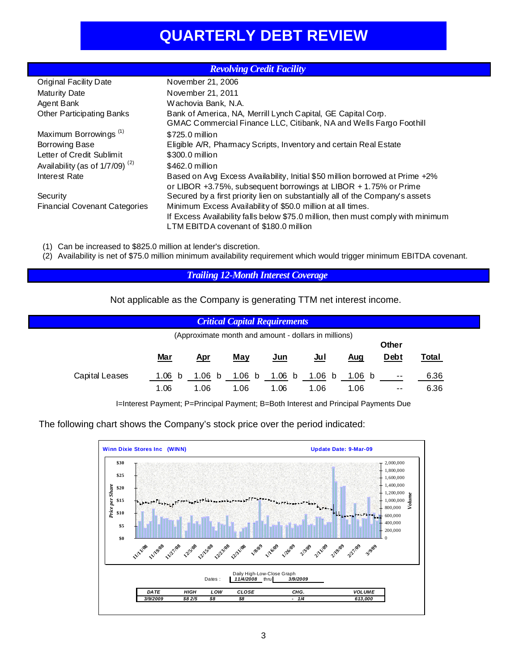# **QUARTERLY DEBT REVIEW**

|                                            | <b>Revolving Credit Facility</b>                                                 |
|--------------------------------------------|----------------------------------------------------------------------------------|
| <b>Original Facility Date</b>              | November 21, 2006                                                                |
| <b>Maturity Date</b>                       | November 21, 2011                                                                |
| Agent Bank                                 | Wachovia Bank, N.A.                                                              |
| <b>Other Participating Banks</b>           | Bank of America, NA, Merrill Lynch Capital, GE Capital Corp.                     |
|                                            | GMAC Commercial Finance LLC, Citibank, NA and Wells Fargo Foothill               |
| Maximum Borrowings <sup>(1)</sup>          | \$725.0 million                                                                  |
| <b>Borrowing Base</b>                      | Eligible A/R, Pharmacy Scripts, Inventory and certain Real Estate                |
| Letter of Credit Sublimit                  | \$300.0 million                                                                  |
| Availability (as of 1/7/09) <sup>(2)</sup> | \$462.0 million                                                                  |
| Interest Rate                              | Based on Avg Excess Availability, Initial \$50 million borrowed at Prime +2%     |
|                                            | or LIBOR +3.75%, subsequent borrowings at LIBOR + 1.75% or Prime                 |
| Security                                   | Secured by a first priority lien on substantially all of the Company's assets    |
| <b>Financial Covenant Categories</b>       | Minimum Excess Availability of \$50.0 million at all times.                      |
|                                            | If Excess Availability falls below \$75.0 million, then must comply with minimum |
|                                            | LTM EBITDA covenant of \$180.0 million                                           |

(1) Can be increased to \$825.0 million at lender's discretion.

(2) Availability is net of \$75.0 million minimum availability requirement which would trigger minimum EBITDA covenant.

# *Trailing 12-Month Interest Coverage*

## Not applicable as the Company is generating TTM net interest income.

|                |                           |                | <b>Critical Capital Requirements</b> |                       |                                                      |                |                     |              |
|----------------|---------------------------|----------------|--------------------------------------|-----------------------|------------------------------------------------------|----------------|---------------------|--------------|
|                |                           |                |                                      |                       | (Approximate month and amount - dollars in millions) |                | Other               |              |
|                | <u>Mar</u>                | <u>Apr</u>     | <u>May</u>                           | $Jun$                 | $u$                                                  | <u>Aug</u>     | <b>Debt</b>         | Total        |
| Capital Leases | 1.06 <sub>b</sub><br>1.06 | 1.06 b<br>1.06 | 1.06<br>b<br>1.06                    | 1.06 $\bm{b}$<br>1.06 | 1.06 b<br>1.06                                       | 1.06 b<br>1.06 | $\sim$ $-$<br>$- -$ | 6.36<br>6.36 |

I=Interest Payment; P=Principal Payment; B=Both Interest and Principal Payments Due

The following chart shows the Company's stock price over the period indicated:

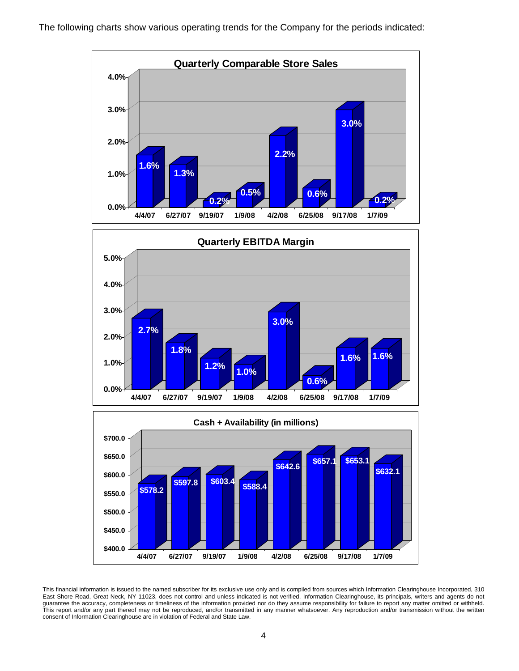





This financial information is issued to the named subscriber for its exclusive use only and is compiled from sources which Information Clearinghouse Incorporated, 310 East Shore Road, Great Neck, NY 11023, does not control and unless indicated is not verified. Information Clearinghouse, its principals, writers and agents do not guarantee the accuracy, completeness or timeliness of the information provided nor do they assume responsibility for failure to report any matter omitted or withheld. This report and/or any part thereof may not be reproduced, and/or transmitted in any manner whatsoever. Any reproduction and/or transmission without the written consent of Information Clearinghouse are in violation of Federal and State Law.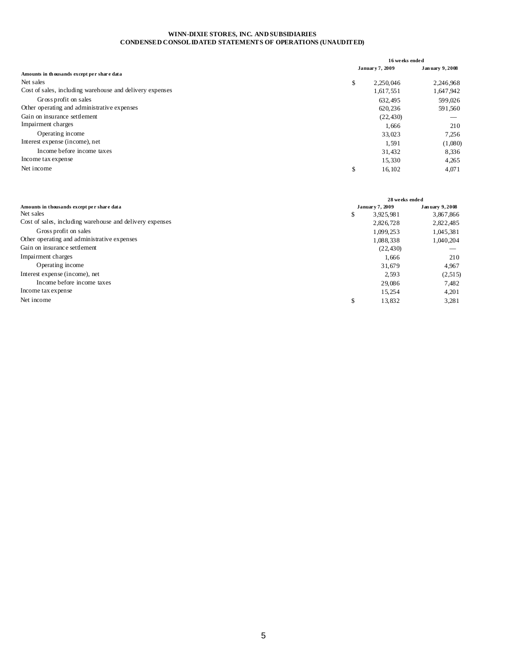#### **WINN-DIXIE STORES, INC. AND SUBSIDIARIES CONDENSED CONSOLIDATED STATEMENTS OF OPERATIONS (UNAUDITED)**

|                                                          | 16 weeks ended  |                |
|----------------------------------------------------------|-----------------|----------------|
|                                                          | January 7, 2009 | January 9,2008 |
| Amounts in thousands except per share data               |                 |                |
| Net sales                                                | \$<br>2.250.046 | 2,246,968      |
| Cost of sales, including warehouse and delivery expenses | 1,617,551       | 1,647,942      |
| Gross profit on sales                                    | 632.495         | 599,026        |
| Other operating and administrative expenses              | 620,236         | 591,560        |
| Gain on insurance settlement                             | (22, 430)       |                |
| Impairment charges                                       | 1.666           | 210            |
| Operating income                                         | 33.023          | 7,256          |
| Interest expense (income), net                           | 1,591           | (1,080)        |
| Income before income taxes                               | 31,432          | 8,336          |
| Income tax expense                                       | 15,330          | 4,265          |
| Net income                                               | \$<br>16,102    | 4,071          |
|                                                          |                 |                |

|                                                          | 28 weeks ended  |                 |
|----------------------------------------------------------|-----------------|-----------------|
| Amounts in thousands except per share data               | January 7, 2009 | Jan uary 9,2008 |
| Net sales                                                | \$<br>3.925.981 | 3,867,866       |
| Cost of sales, including warehouse and delivery expenses | 2,826,728       | 2,822,485       |
| Gross profit on sales                                    | 1.099.253       | 1.045.381       |
| Other operating and administrative expenses              | 1.088.338       | 1.040.204       |
| Gain on insurance settlement                             | (22, 430)       |                 |
| Impairment charges                                       | 1.666           | 210             |
| Operating income                                         | 31,679          | 4,967           |
| Interest expense (income), net                           | 2.593           | (2,515)         |
| Income before income taxes                               | 29,086          | 7,482           |
| Income tax expense                                       | 15.254          | 4.201           |
| Net income                                               | \$<br>13,832    | 3,281           |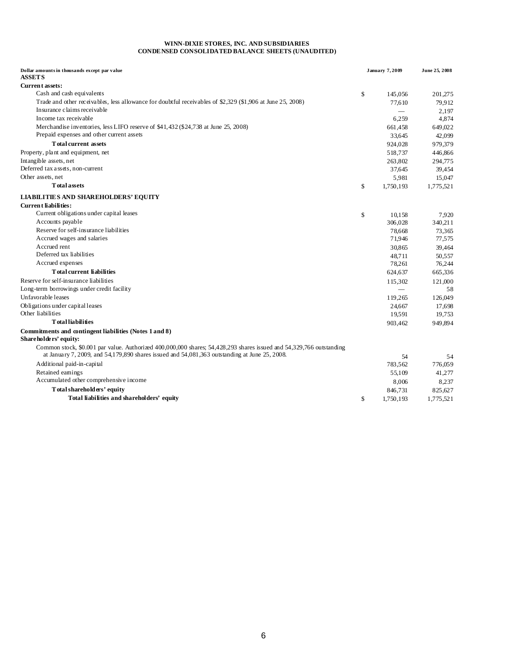#### **WINN-DIXIE STORES, INC. AND SUBSIDIARIES CONDENSED CONSOLIDATED BALANCE SHEETS (UNAUDITED)**

| Dollar amounts in thousands except par value<br><b>ASSETS</b>                                                                                                                                                                 | <b>January 7,2009</b> | June 25, 2008 |
|-------------------------------------------------------------------------------------------------------------------------------------------------------------------------------------------------------------------------------|-----------------------|---------------|
| <b>Current assets:</b>                                                                                                                                                                                                        |                       |               |
| Cash and cash equivalents                                                                                                                                                                                                     | \$<br>145,056         | 201,275       |
| Trade and other receivables, less allowance for doubtful receivables of \$2,329 (\$1,906 at June 25, 2008)                                                                                                                    | 77.610                | 79,912        |
| Insurance claims receivable                                                                                                                                                                                                   |                       | 2,197         |
| Income tax receivable                                                                                                                                                                                                         | 6,259                 | 4,874         |
| Merchandise inventories, less LIFO reserve of \$41,432 (\$24,738 at June 25, 2008)                                                                                                                                            | 661,458               | 649,022       |
| Prepaid expenses and other current assets                                                                                                                                                                                     | 33,645                | 42,099        |
| <b>Total current assets</b>                                                                                                                                                                                                   | 924,028               | 979,379       |
| Property, plant and equipment, net                                                                                                                                                                                            | 518,737               | 446,866       |
| Intangible assets, net                                                                                                                                                                                                        | 263,802               | 294,775       |
| Deferred tax assets, non-current                                                                                                                                                                                              | 37,645                | 39,454        |
| Other assets, net                                                                                                                                                                                                             | 5,981                 | 15,047        |
| <b>T</b> otal assets                                                                                                                                                                                                          | \$<br>1,750,193       | 1,775,521     |
| <b>LIABILITIES AND SHAREHOLDERS' EQUITY</b>                                                                                                                                                                                   |                       |               |
| <b>Current liabilities:</b>                                                                                                                                                                                                   |                       |               |
| Current obligations under capital leases                                                                                                                                                                                      | \$<br>10,158          | 7,920         |
| Accounts payable                                                                                                                                                                                                              | 306,028               | 340,211       |
| Reserve for self-insurance liabilities                                                                                                                                                                                        | 78.668                | 73.365        |
| Accrued wages and salaries                                                                                                                                                                                                    | 71,946                | 77,575        |
| Accrued rent                                                                                                                                                                                                                  | 30,865                | 39,464        |
| Deferred tax liabilities                                                                                                                                                                                                      | 48,711                | 50,557        |
| Accrued expenses                                                                                                                                                                                                              | 78,261                | 76,244        |
| <b>Total current liabilities</b>                                                                                                                                                                                              | 624,637               | 665,336       |
| Reserve for self-insurance liabilities                                                                                                                                                                                        | 115,302               | 121,000       |
| Long-term borrowings under credit facility                                                                                                                                                                                    |                       | 58            |
| Unfavorable leases                                                                                                                                                                                                            | 119,265               | 126,049       |
| Obligations under capital leases                                                                                                                                                                                              | 24.667                | 17,698        |
| Other liabilities                                                                                                                                                                                                             | 19,591                | 19,753        |
| <b>T</b> otal liabilities                                                                                                                                                                                                     | 903,462               | 949.894       |
| Commitments and contingent liabilities (Notes 1 and 8)<br>Shareholders' equity:                                                                                                                                               |                       |               |
| Common stock, $$0.001$ par value. Authorized $400,000,000$ shares; $54,428,293$ shares issued and $54,329,766$ outstanding<br>at January 7, 2009, and 54,179,890 shares issued and $54,081,363$ outstanding at June 25, 2008. | 54                    | 54            |
| Additional paid-in-capital                                                                                                                                                                                                    | 783.562               | 776,059       |
| Retained eamings                                                                                                                                                                                                              | 55,109                | 41,277        |
| Accumulated other comprehensive income                                                                                                                                                                                        | 8,006                 | 8,237         |
| Total shareholders' equity                                                                                                                                                                                                    | 846,731               | 825,627       |
| Total liabilities and shareholders' equity                                                                                                                                                                                    | \$<br>1.750.193       | 1.775.521     |